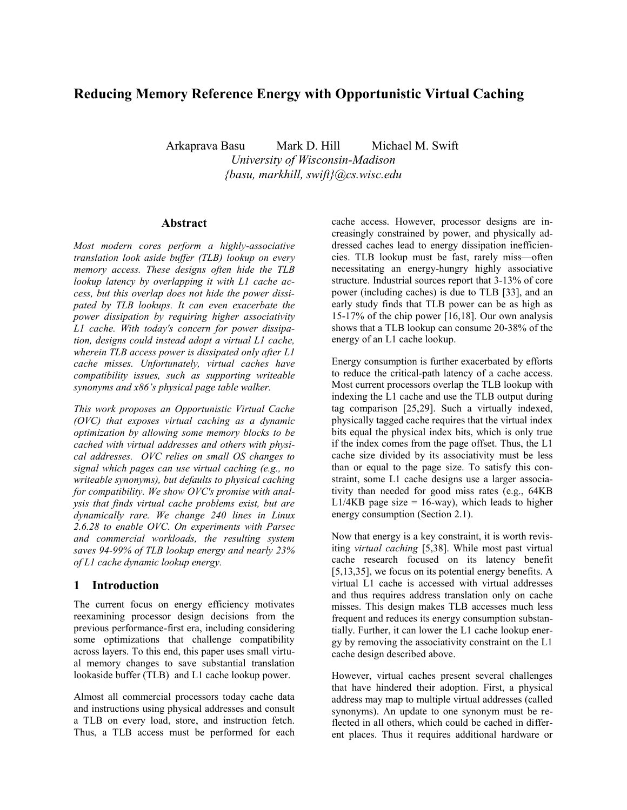# **Reducing Memory Reference Energy with Opportunistic Virtual Caching**

Arkaprava Basu Mark D. Hill Michael M. Swift *University of Wisconsin-Madison {basu, markhill, swift}@cs.wisc.edu*

#### **Abstract**

*Most modern cores perform a highly-associative translation look aside buffer (TLB) lookup on every memory access. These designs often hide the TLB lookup latency by overlapping it with L1 cache access, but this overlap does not hide the power dissipated by TLB lookups. It can even exacerbate the power dissipation by requiring higher associativity L1 cache. With today's concern for power dissipation, designs could instead adopt a virtual L1 cache, wherein TLB access power is dissipated only after L1 cache misses. Unfortunately, virtual caches have compatibility issues, such as supporting writeable synonyms and x86's physical page table walker.*

*This work proposes an Opportunistic Virtual Cache (OVC) that exposes virtual caching as a dynamic optimization by allowing some memory blocks to be cached with virtual addresses and others with physical addresses. OVC relies on small OS changes to signal which pages can use virtual caching (e.g., no writeable synonyms), but defaults to physical caching for compatibility. We show OVC's promise with analysis that finds virtual cache problems exist, but are dynamically rare. We change 240 lines in Linux 2.6.28 to enable OVC. On experiments with Parsec and commercial workloads, the resulting system saves 94-99% of TLB lookup energy and nearly 23% of L1 cache dynamic lookup energy.*

#### **1 Introduction**

The current focus on energy efficiency motivates reexamining processor design decisions from the previous performance-first era, including considering some optimizations that challenge compatibility across layers. To this end, this paper uses small virtual memory changes to save substantial translation lookaside buffer (TLB) and L1 cache lookup power.

Almost all commercial processors today cache data and instructions using physical addresses and consult a TLB on every load, store, and instruction fetch. Thus, a TLB access must be performed for each cache access. However, processor designs are increasingly constrained by power, and physically addressed caches lead to energy dissipation inefficiencies. TLB lookup must be fast, rarely miss—often necessitating an energy-hungry highly associative structure. Industrial sources report that 3-13% of core power (including caches) is due to TLB [33], and an early study finds that TLB power can be as high as 15-17% of the chip power [16,18]. Our own analysis shows that a TLB lookup can consume 20-38% of the energy of an L1 cache lookup.

Energy consumption is further exacerbated by efforts to reduce the critical-path latency of a cache access. Most current processors overlap the TLB lookup with indexing the L1 cache and use the TLB output during tag comparison [25,29]. Such a virtually indexed, physically tagged cache requires that the virtual index bits equal the physical index bits, which is only true if the index comes from the page offset. Thus, the L1 cache size divided by its associativity must be less than or equal to the page size. To satisfy this constraint, some L1 cache designs use a larger associativity than needed for good miss rates (e.g., 64KB  $L1/4KB$  page size = 16-way), which leads to higher energy consumption (Section 2.1).

Now that energy is a key constraint, it is worth revisiting *virtual caching* [5,38]. While most past virtual cache research focused on its latency benefit [5,13,35], we focus on its potential energy benefits. A virtual L1 cache is accessed with virtual addresses and thus requires address translation only on cache misses. This design makes TLB accesses much less frequent and reduces its energy consumption substantially. Further, it can lower the L1 cache lookup energy by removing the associativity constraint on the L1 cache design described above.

However, virtual caches present several challenges that have hindered their adoption. First, a physical address may map to multiple virtual addresses (called synonyms). An update to one synonym must be reflected in all others, which could be cached in different places. Thus it requires additional hardware or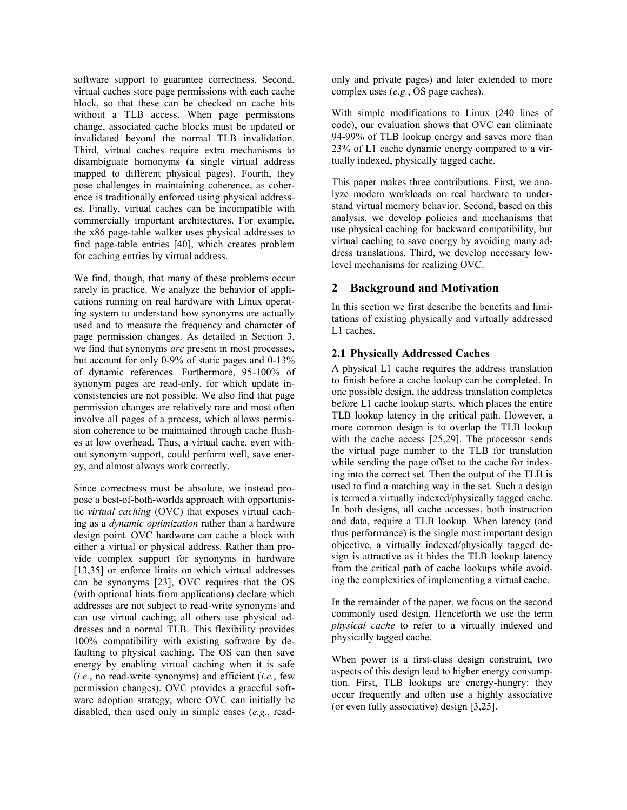software support to guarantee correctness. Second, virtual caches store page permissions with each cache block, so that these can be checked on cache hits without a TLB access. When page permissions change, associated cache blocks must be updated or invalidated beyond the normal TLB invalidation. Third, virtual caches require extra mechanisms to disambiguate homonyms (a single virtual address mapped to different physical pages). Fourth, they pose challenges in maintaining coherence, as coherence is traditionally enforced using physical addresses. Finally, virtual caches can be incompatible with commercially important architectures. For example, the x86 page-table walker uses physical addresses to find page-table entries [40], which creates problem for caching entries by virtual address.

We find, though, that many of these problems occur rarely in practice. We analyze the behavior of applications running on real hardware with Linux operating system to understand how synonyms are actually used and to measure the frequency and character of page permission changes. As detailed in Section 3, we find that synonyms *are* present in most processes, but account for only 0-9% of static pages and 0-13% of dynamic references. Furthermore, 95-100% of synonym pages are read-only, for which update inconsistencies are not possible. We also find that page permission changes are relatively rare and most often involve all pages of a process, which allows permission coherence to be maintained through cache flushes at low overhead. Thus, a virtual cache, even without synonym support, could perform well, save energy, and almost always work correctly.

Since correctness must be absolute, we instead propose a best-of-both-worlds approach with opportunistic *virtual caching* (OVC) that exposes virtual caching as a *dynamic optimization* rather than a hardware design point. OVC hardware can cache a block with either a virtual or physical address. Rather than provide complex support for synonyms in hardware [13,35] or enforce limits on which virtual addresses can be synonyms [23], OVC requires that the OS (with optional hints from applications) declare which addresses are not subject to read-write synonyms and can use virtual caching; all others use physical addresses and a normal TLB. This flexibility provides 100% compatibility with existing software by defaulting to physical caching. The OS can then save energy by enabling virtual caching when it is safe (*i.e.*, no read-write synonyms) and efficient (*i.e.*, few permission changes). OVC provides a graceful software adoption strategy, where OVC can initially be disabled, then used only in simple cases (*e.g.*, readonly and private pages) and later extended to more complex uses (*e.g.*, OS page caches).

With simple modifications to Linux (240 lines of code), our evaluation shows that OVC can eliminate 94-99% of TLB lookup energy and saves more than 23% of L1 cache dynamic energy compared to a virtually indexed, physically tagged cache.

This paper makes three contributions. First, we analyze modern workloads on real hardware to understand virtual memory behavior. Second, based on this analysis, we develop policies and mechanisms that use physical caching for backward compatibility, but virtual caching to save energy by avoiding many address translations. Third, we develop necessary lowlevel mechanisms for realizing OVC.

## **2 Background and Motivation**

In this section we first describe the benefits and limitations of existing physically and virtually addressed L1 caches.

### <span id="page-1-0"></span>**2.1 Physically Addressed Caches**

A physical L1 cache requires the address translation to finish before a cache lookup can be completed. In one possible design, the address translation completes before L1 cache lookup starts, which places the entire TLB lookup latency in the critical path. However, a more common design is to overlap the TLB lookup with the cache access [25,29]. The processor sends the virtual page number to the TLB for translation while sending the page offset to the cache for indexing into the correct set. Then the output of the TLB is used to find a matching way in the set. Such a design is termed a virtually indexed/physically tagged cache. In both designs, all cache accesses, both instruction and data, require a TLB lookup. When latency (and thus performance) is the single most important design objective, a virtually indexed/physically tagged design is attractive as it hides the TLB lookup latency from the critical path of cache lookups while avoiding the complexities of implementing a virtual cache.

In the remainder of the paper, we focus on the second commonly used design. Henceforth we use the term *physical cache* to refer to a virtually indexed and physically tagged cache.

When power is a first-class design constraint, two aspects of this design lead to higher energy consumption. First, TLB lookups are energy-hungry: they occur frequently and often use a highly associative (or even fully associative) design [3,25].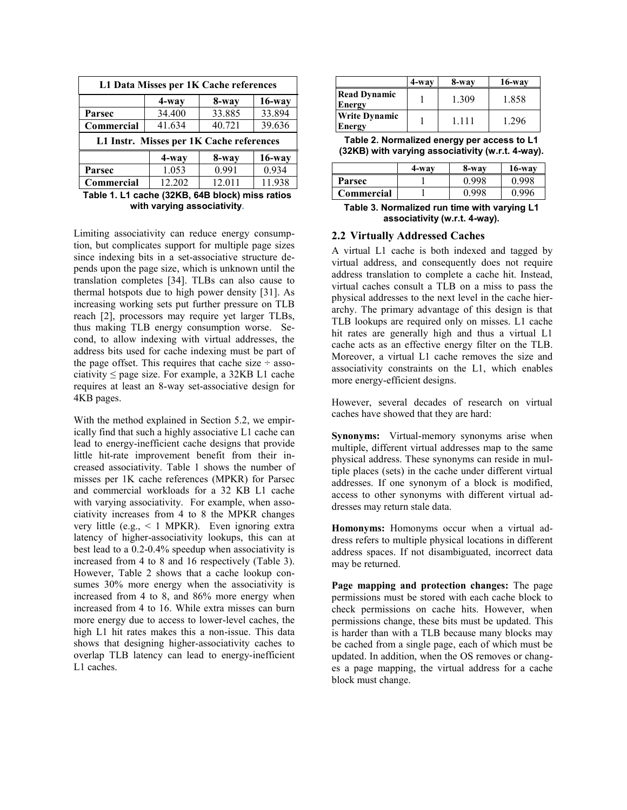| L1 Data Misses per 1K Cache references   |                             |        |           |  |  |  |
|------------------------------------------|-----------------------------|--------|-----------|--|--|--|
|                                          | $16$ -way<br>4-way<br>8-way |        |           |  |  |  |
| <b>Parsec</b>                            | 34.400                      | 33.885 | 33.894    |  |  |  |
| 39.636<br>40.721<br>41.634<br>Commercial |                             |        |           |  |  |  |
| L1 Instr. Misses per 1K Cache references |                             |        |           |  |  |  |
|                                          |                             |        |           |  |  |  |
|                                          | 4-way                       | 8-way  | $16$ -way |  |  |  |
| Parsec                                   | 1.053                       | 0.991  | 0.934     |  |  |  |

**Table 1. L1 cache (32KB, 64B block) miss ratios with varying associativity.**

Limiting associativity can reduce energy consumption, but complicates support for multiple page sizes since indexing bits in a set-associative structure depends upon the page size, which is unknown until the translation completes [34]. TLBs can also cause to thermal hotspots due to high power density [31]. As increasing working sets put further pressure on TLB reach [2], processors may require yet larger TLBs, thus making TLB energy consumption worse. Second, to allow indexing with virtual addresses, the address bits used for cache indexing must be part of the page offset. This requires that cache size  $\div$  associativity  $\leq$  page size. For example, a 32KB L1 cache requires at least an 8-way set-associative design for 4KB pages.

With the method explained in Section [5.2,](#page-7-0) we empirically find that such a highly associative L1 cache can lead to energy-inefficient cache designs that provide little hit-rate improvement benefit from their increased associativity. Table 1 shows the number of misses per 1K cache references (MPKR) for Parsec and commercial workloads for a 32 KB L1 cache with varying associativity. For example, when associativity increases from 4 to 8 the MPKR changes very little (e.g., < 1 MPKR). Even ignoring extra latency of higher-associativity lookups, this can at best lead to a 0.2-0.4% speedup when associativity is increased from 4 to 8 and 16 respectively (Table 3). However, Table 2 shows that a cache lookup consumes 30% more energy when the associativity is increased from 4 to 8, and 86% more energy when increased from 4 to 16. While extra misses can burn more energy due to access to lower-level caches, the high L1 hit rates makes this a non-issue. This data shows that designing higher-associativity caches to overlap TLB latency can lead to energy-inefficient L1 caches.

|                                      | 4-way | 8-way   | $16$ -way |
|--------------------------------------|-------|---------|-----------|
| <b>Read Dynamic</b><br><b>Energy</b> |       | 1.309   | 1.858     |
| <b>Write Dynamic</b><br>Energy       |       | 1 1 1 1 | 1.296     |

**Table 2. Normalized energy per access to L1 (32KB) with varying associativity (w.r.t. 4-way).**

|                   | 4-wav | 8-way | $16$ -way |
|-------------------|-------|-------|-----------|
| Parsec            |       | -998  | -998      |
| <b>Commercial</b> |       |       |           |

**Table 3. Normalized run time with varying L1 associativity (w.r.t. 4-way).**

#### **2.2 Virtually Addressed Caches**

A virtual L1 cache is both indexed and tagged by virtual address, and consequently does not require address translation to complete a cache hit. Instead, virtual caches consult a TLB on a miss to pass the physical addresses to the next level in the cache hierarchy. The primary advantage of this design is that TLB lookups are required only on misses. L1 cache hit rates are generally high and thus a virtual L1 cache acts as an effective energy filter on the TLB. Moreover, a virtual L1 cache removes the size and associativity constraints on the L1, which enables more energy-efficient designs.

However, several decades of research on virtual caches have showed that they are hard:

**Synonyms:** Virtual-memory synonyms arise when multiple, different virtual addresses map to the same physical address. These synonyms can reside in multiple places (sets) in the cache under different virtual addresses. If one synonym of a block is modified, access to other synonyms with different virtual addresses may return stale data.

**Homonyms:** Homonyms occur when a virtual address refers to multiple physical locations in different address spaces. If not disambiguated, incorrect data may be returned.

**Page mapping and protection changes:** The page permissions must be stored with each cache block to check permissions on cache hits. However, when permissions change, these bits must be updated. This is harder than with a TLB because many blocks may be cached from a single page, each of which must be updated. In addition, when the OS removes or changes a page mapping, the virtual address for a cache block must change.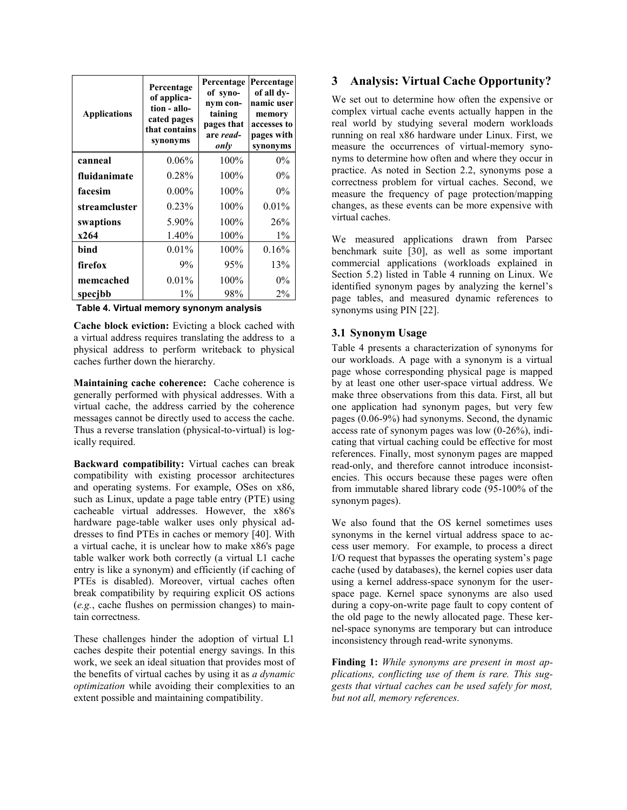| <b>Applications</b> | Percentage<br>of applica-<br>tion - allo-<br>cated pages<br>that contains<br>synonyms | Percentage<br>of syno-<br>nym con-<br>taining<br>pages that<br>are read-<br>only | Percentage<br>of all dy-<br>namic user<br>memory<br>accesses to<br>pages with<br>synonyms |
|---------------------|---------------------------------------------------------------------------------------|----------------------------------------------------------------------------------|-------------------------------------------------------------------------------------------|
| canneal             | $0.06\%$                                                                              | 100%                                                                             | $0\%$                                                                                     |
| fluidanimate        | 0.28%                                                                                 | 100%                                                                             | $0\%$                                                                                     |
| facesim             | $0.00\%$                                                                              | 100%                                                                             | $0\%$                                                                                     |
| streamcluster       | 0.23%                                                                                 | 100%                                                                             | 0.01%                                                                                     |
| swaptions           | 5.90%                                                                                 | 100%                                                                             | 26%                                                                                       |
| x264                | 1.40%                                                                                 | 100%                                                                             | $1\%$                                                                                     |
| bind                | $0.01\%$                                                                              | 100%                                                                             | 0.16%                                                                                     |
| firefox             | 9%                                                                                    | 95%                                                                              | 13%                                                                                       |
| memcached           | $0.01\%$                                                                              | 100%                                                                             | $0\%$                                                                                     |
| specjbb             | $1\%$                                                                                 | 98%                                                                              | $2\%$                                                                                     |

**Table 4. Virtual memory synonym analysis**

**Cache block eviction:** Evicting a block cached with a virtual address requires translating the address to a physical address to perform writeback to physical caches further down the hierarchy.

**Maintaining cache coherence:** Cache coherence is generally performed with physical addresses. With a virtual cache, the address carried by the coherence messages cannot be directly used to access the cache. Thus a reverse translation (physical-to-virtual) is logically required.

**Backward compatibility:** Virtual caches can break compatibility with existing processor architectures and operating systems. For example, OSes on x86, such as Linux, update a page table entry (PTE) using cacheable virtual addresses. However, the x86's hardware page-table walker uses only physical addresses to find PTEs in caches or memory [40]. With a virtual cache, it is unclear how to make x86's page table walker work both correctly (a virtual L1 cache entry is like a synonym) and efficiently (if caching of PTEs is disabled). Moreover, virtual caches often break compatibility by requiring explicit OS actions (*e.g.*, cache flushes on permission changes) to maintain correctness.

These challenges hinder the adoption of virtual L1 caches despite their potential energy savings. In this work, we seek an ideal situation that provides most of the benefits of virtual caches by using it as *a dynamic optimization* while avoiding their complexities to an extent possible and maintaining compatibility.

# **3 Analysis: Virtual Cache Opportunity?**

We set out to determine how often the expensive or complex virtual cache events actually happen in the real world by studying several modern workloads running on real x86 hardware under Linux. First, we measure the occurrences of virtual-memory synonyms to determine how often and where they occur in practice. As noted in Section 2.2, synonyms pose a correctness problem for virtual caches. Second, we measure the frequency of page protection/mapping changes, as these events can be more expensive with virtual caches.

We measured applications drawn from Parsec benchmark suite [30], as well as some important commercial applications (workloads explained in Section 5.2) listed in Table 4 running on Linux. We identified synonym pages by analyzing the kernel's page tables, and measured dynamic references to synonyms using PIN [22].

## <span id="page-3-0"></span>**3.1 Synonym Usage**

Table 4 presents a characterization of synonyms for our workloads. A page with a synonym is a virtual page whose corresponding physical page is mapped by at least one other user-space virtual address. We make three observations from this data. First, all but one application had synonym pages, but very few pages (0.06-9%) had synonyms. Second, the dynamic access rate of synonym pages was low (0-26%), indicating that virtual caching could be effective for most references. Finally, most synonym pages are mapped read-only, and therefore cannot introduce inconsistencies. This occurs because these pages were often from immutable shared library code (95-100% of the synonym pages).

We also found that the OS kernel sometimes uses synonyms in the kernel virtual address space to access user memory. For example, to process a direct I/O request that bypasses the operating system's page cache (used by databases), the kernel copies user data using a kernel address-space synonym for the userspace page. Kernel space synonyms are also used during a copy-on-write page fault to copy content of the old page to the newly allocated page. These kernel-space synonyms are temporary but can introduce inconsistency through read-write synonyms.

**Finding 1:** *While synonyms are present in most applications, conflicting use of them is rare. This suggests that virtual caches can be used safely for most, but not all, memory references.*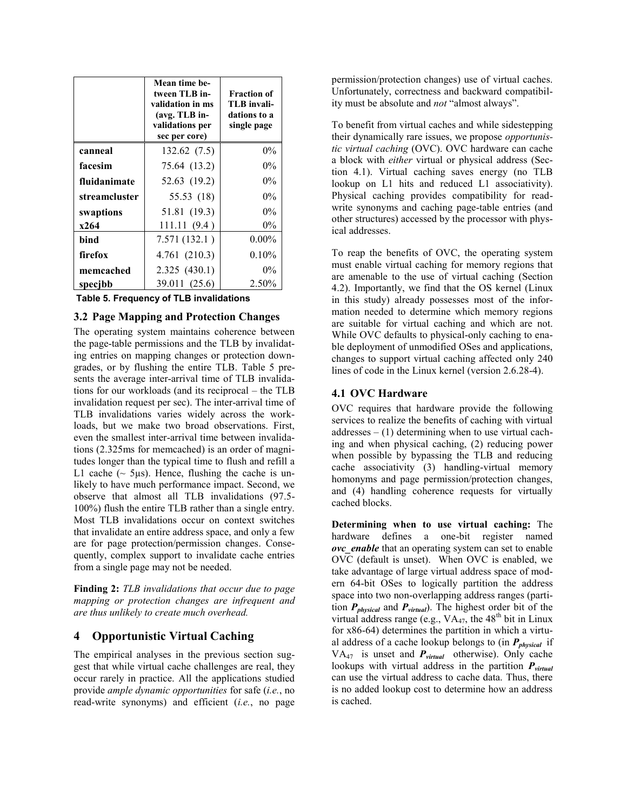|               | Mean time be-<br>tween TLB in-<br>validation in ms<br>$(avg. TLB in-$<br>validations per<br>sec per core) | <b>Fraction of</b><br>TLB invali-<br>dations to a<br>single page |
|---------------|-----------------------------------------------------------------------------------------------------------|------------------------------------------------------------------|
| canneal       | 132.62 (7.5)                                                                                              | $0\%$                                                            |
| facesim       | 75.64 (13.2)                                                                                              | $0\%$                                                            |
| fluidanimate  | 52.63 (19.2)                                                                                              | $0\%$                                                            |
| streamcluster | 55.53 (18)                                                                                                | $0\%$                                                            |
| swaptions     | 51.81 (19.3)                                                                                              | $0\%$                                                            |
| x264          | 111.11(9.4)                                                                                               | $0\%$                                                            |
| bind          | 7.571(132.1)                                                                                              | $0.00\%$                                                         |
| firefox       | 4.761 (210.3)                                                                                             | 0.10%                                                            |
| memcached     | 2.325(430.1)                                                                                              | $0\%$                                                            |
| specjbb       | 39.011 (25.6)                                                                                             | 2.50%                                                            |

**Table 5. Frequency of TLB invalidations**

#### **3.2 Page Mapping and Protection Changes**

The operating system maintains coherence between the page-table permissions and the TLB by invalidating entries on mapping changes or protection downgrades, or by flushing the entire TLB. Table 5 presents the average inter-arrival time of TLB invalidations for our workloads (and its reciprocal – the TLB invalidation request per sec). The inter-arrival time of TLB invalidations varies widely across the workloads, but we make two broad observations. First, even the smallest inter-arrival time between invalidations (2.325ms for memcached) is an order of magnitudes longer than the typical time to flush and refill a L1 cache  $\sim$  5 $\mu$ s). Hence, flushing the cache is unlikely to have much performance impact. Second, we observe that almost all TLB invalidations (97.5- 100%) flush the entire TLB rather than a single entry. Most TLB invalidations occur on context switches that invalidate an entire address space, and only a few are for page protection/permission changes. Consequently, complex support to invalidate cache entries from a single page may not be needed.

**Finding 2:** *TLB invalidations that occur due to page mapping or protection changes are infrequent and are thus unlikely to create much overhead.*

## **4 Opportunistic Virtual Caching**

The empirical analyses in the previous section suggest that while virtual cache challenges are real, they occur rarely in practice. All the applications studied provide *ample dynamic opportunities* for safe (*i.e.*, no read-write synonyms) and efficient (*i.e.*, no page

permission/protection changes) use of virtual caches. Unfortunately, correctness and backward compatibility must be absolute and *not* "almost always".

To benefit from virtual caches and while sidestepping their dynamically rare issues, we propose *opportunistic virtual caching* (OVC). OVC hardware can cache a block with *either* virtual or physical address (Section [4.1\)](#page-4-0). Virtual caching saves energy (no TLB lookup on L1 hits and reduced L1 associativity). Physical caching provides compatibility for readwrite synonyms and caching page-table entries (and other structures) accessed by the processor with physical addresses.

To reap the benefits of OVC, the operating system must enable virtual caching for memory regions that are amenable to the use of virtual caching (Section [4.2\)](#page-6-0). Importantly, we find that the OS kernel (Linux in this study) already possesses most of the information needed to determine which memory regions are suitable for virtual caching and which are not. While OVC defaults to physical-only caching to enable deployment of unmodified OSes and applications, changes to support virtual caching affected only 240 lines of code in the Linux kernel (version 2.6.28-4).

#### <span id="page-4-0"></span>**4.1 OVC Hardware**

OVC requires that hardware provide the following services to realize the benefits of caching with virtual  $addresses - (1)$  determining when to use virtual caching and when physical caching, (2) reducing power when possible by bypassing the TLB and reducing cache associativity (3) handling-virtual memory homonyms and page permission/protection changes, and (4) handling coherence requests for virtually cached blocks.

**Determining when to use virtual caching:** The hardware defines a one-bit register named *ovc\_enable* that an operating system can set to enable OVC (default is unset). When OVC is enabled, we take advantage of large virtual address space of modern 64-bit OSes to logically partition the address space into two non-overlapping address ranges (partition *Pphysical* and *Pvirtual*). The highest order bit of the virtual address range (e.g.,  $VA_{47}$ , the 48<sup>th</sup> bit in Linux for x86-64) determines the partition in which a virtual address of a cache lookup belongs to (in *Pphysical* if  $VA_{47}$  is unset and  $P_{virtual}$  otherwise). Only cache lookups with virtual address in the partition  $P_{virtual}$ can use the virtual address to cache data. Thus, there is no added lookup cost to determine how an address is cached.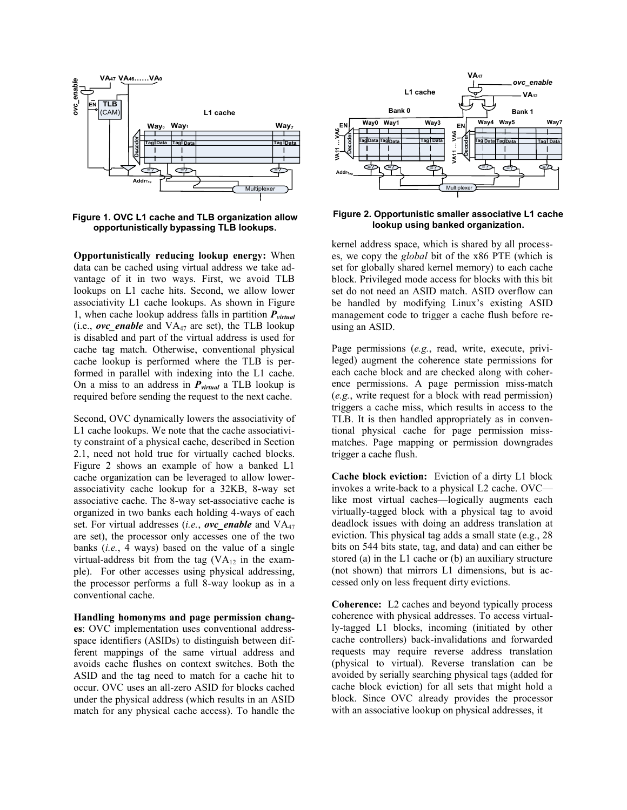

<span id="page-5-0"></span>**Figure 1. OVC L1 cache and TLB organization allow opportunistically bypassing TLB lookups.**

**Opportunistically reducing lookup energy:** When data can be cached using virtual address we take advantage of it in two ways. First, we avoid TLB lookups on L1 cache hits. Second, we allow lower associativity L1 cache lookups. As shown in [Figure](#page-5-0) 1, when cache lookup address falls in partition *Pvirtual* (i.e., *ovc\_enable* and VA<sup>47</sup> are set), the TLB lookup is disabled and part of the virtual address is used for cache tag match. Otherwise, conventional physical cache lookup is performed where the TLB is performed in parallel with indexing into the L1 cache. On a miss to an address in *Pvirtual* a TLB lookup is required before sending the request to the next cache.

Second, OVC dynamically lowers the associativity of L1 cache lookups. We note that the cache associativity constraint of a physical cache, described in Section [2.1,](#page-1-0) need not hold true for virtually cached blocks. [Figure](#page-5-1) 2 shows an example of how a banked L1 cache organization can be leveraged to allow lowerassociativity cache lookup for a 32KB, 8-way set associative cache. The 8-way set-associative cache is organized in two banks each holding 4-ways of each set. For virtual addresses (*i.e.*, *ovc\_enable* and VA<sup>47</sup> are set), the processor only accesses one of the two banks (*i.e.*, 4 ways) based on the value of a single virtual-address bit from the tag  $(VA_{12})$  in the example). For other accesses using physical addressing, the processor performs a full 8-way lookup as in a conventional cache.

**Handling homonyms and page permission changes**: OVC implementation uses conventional addressspace identifiers (ASIDs) to distinguish between different mappings of the same virtual address and avoids cache flushes on context switches. Both the ASID and the tag need to match for a cache hit to occur. OVC uses an all-zero ASID for blocks cached under the physical address (which results in an ASID match for any physical cache access). To handle the



<span id="page-5-1"></span>**Figure 2. Opportunistic smaller associative L1 cache lookup using banked organization.**

kernel address space, which is shared by all processes, we copy the *global* bit of the x86 PTE (which is set for globally shared kernel memory) to each cache block. Privileged mode access for blocks with this bit set do not need an ASID match. ASID overflow can be handled by modifying Linux's existing ASID management code to trigger a cache flush before reusing an ASID.

Page permissions (*e.g.*, read, write, execute, privileged) augment the coherence state permissions for each cache block and are checked along with coherence permissions. A page permission miss-match (*e.g.*, write request for a block with read permission) triggers a cache miss, which results in access to the TLB. It is then handled appropriately as in conventional physical cache for page permission missmatches. Page mapping or permission downgrades trigger a cache flush.

**Cache block eviction:** Eviction of a dirty L1 block invokes a write-back to a physical L2 cache. OVC like most virtual caches—logically augments each virtually-tagged block with a physical tag to avoid deadlock issues with doing an address translation at eviction. This physical tag adds a small state (e.g., 28 bits on 544 bits state, tag, and data) and can either be stored (a) in the L1 cache or (b) an auxiliary structure (not shown) that mirrors L1 dimensions, but is accessed only on less frequent dirty evictions.

**Coherence:** L2 caches and beyond typically process coherence with physical addresses. To access virtually-tagged L1 blocks, incoming (initiated by other cache controllers) back-invalidations and forwarded requests may require reverse address translation (physical to virtual). Reverse translation can be avoided by serially searching physical tags (added for cache block eviction) for all sets that might hold a block. Since OVC already provides the processor with an associative lookup on physical addresses, it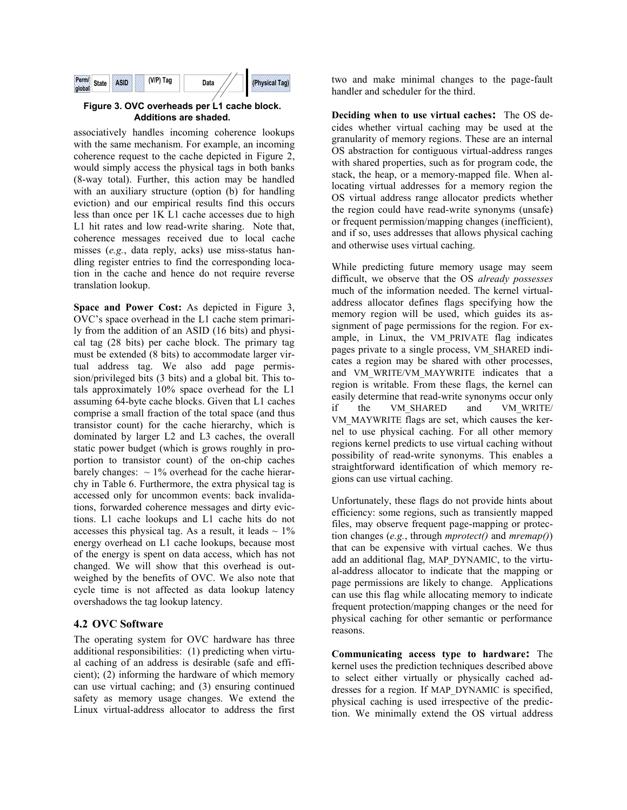

**Figure 3. OVC overheads per L1 cache block. Additions are shaded.**

associatively handles incoming coherence lookups with the same mechanism. For example, an incoming coherence request to the cache depicted in [Figure](#page-5-1) 2, would simply access the physical tags in both banks (8-way total). Further, this action may be handled with an auxiliary structure (option (b) for handling eviction) and our empirical results find this occurs less than once per 1K L1 cache accesses due to high L1 hit rates and low read-write sharing. Note that, coherence messages received due to local cache misses (*e.g.*, data reply, acks) use miss-status handling register entries to find the corresponding location in the cache and hence do not require reverse translation lookup.

**Space and Power Cost:** As depicted in Figure 3, OVC's space overhead in the L1 cache stem primarily from the addition of an ASID (16 bits) and physical tag (28 bits) per cache block. The primary tag must be extended (8 bits) to accommodate larger virtual address tag. We also add page permission/privileged bits (3 bits) and a global bit. This totals approximately 10% space overhead for the L1 assuming 64-byte cache blocks. Given that L1 caches comprise a small fraction of the total space (and thus transistor count) for the cache hierarchy, which is dominated by larger L2 and L3 caches, the overall static power budget (which is grows roughly in proportion to transistor count) of the on-chip caches barely changes:  $\sim 1\%$  overhead for the cache hierarchy in Table 6. Furthermore, the extra physical tag is accessed only for uncommon events: back invalidations, forwarded coherence messages and dirty evictions. L1 cache lookups and L1 cache hits do not accesses this physical tag. As a result, it leads  $\sim 1\%$ energy overhead on L1 cache lookups, because most of the energy is spent on data access, which has not changed. We will show that this overhead is outweighed by the benefits of OVC. We also note that cycle time is not affected as data lookup latency overshadows the tag lookup latency.

#### <span id="page-6-0"></span>**4.2 OVC Software**

The operating system for OVC hardware has three additional responsibilities: (1) predicting when virtual caching of an address is desirable (safe and efficient); (2) informing the hardware of which memory can use virtual caching; and (3) ensuring continued safety as memory usage changes. We extend the Linux virtual-address allocator to address the first two and make minimal changes to the page-fault handler and scheduler for the third.

**Deciding when to use virtual caches:** The OS decides whether virtual caching may be used at the granularity of memory regions. These are an internal OS abstraction for contiguous virtual-address ranges with shared properties, such as for program code, the stack, the heap, or a memory-mapped file. When allocating virtual addresses for a memory region the OS virtual address range allocator predicts whether the region could have read-write synonyms (unsafe) or frequent permission/mapping changes (inefficient), and if so, uses addresses that allows physical caching and otherwise uses virtual caching.

While predicting future memory usage may seem difficult, we observe that the OS *already possesses* much of the information needed. The kernel virtualaddress allocator defines flags specifying how the memory region will be used, which guides its assignment of page permissions for the region. For example, in Linux, the VM\_PRIVATE flag indicates pages private to a single process, VM\_SHARED indicates a region may be shared with other processes, and VM\_WRITE/VM\_MAYWRITE indicates that a region is writable. From these flags, the kernel can easily determine that read-write synonyms occur only if the VM\_SHARED and VM\_WRITE/ VM\_MAYWRITE flags are set, which causes the kernel to use physical caching. For all other memory regions kernel predicts to use virtual caching without possibility of read-write synonyms. This enables a straightforward identification of which memory regions can use virtual caching.

Unfortunately, these flags do not provide hints about efficiency: some regions, such as transiently mapped files, may observe frequent page-mapping or protection changes (*e.g.*, through *mprotect()* and *mremap()*) that can be expensive with virtual caches. We thus add an additional flag, MAP\_DYNAMIC, to the virtual-address allocator to indicate that the mapping or page permissions are likely to change. Applications can use this flag while allocating memory to indicate frequent protection/mapping changes or the need for physical caching for other semantic or performance reasons.

**Communicating access type to hardware:** The kernel uses the prediction techniques described above to select either virtually or physically cached addresses for a region. If MAP\_DYNAMIC is specified, physical caching is used irrespective of the prediction. We minimally extend the OS virtual address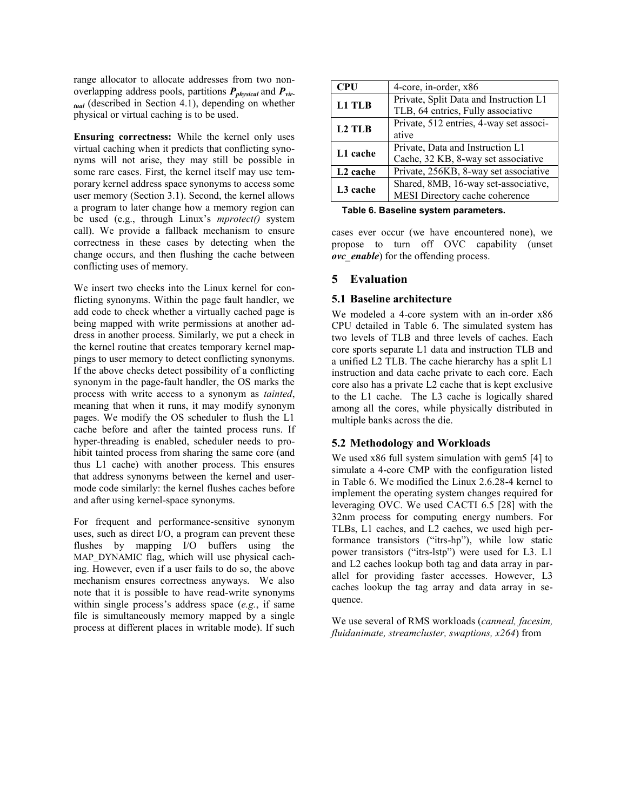range allocator to allocate addresses from two nonoverlapping address pools, partitions *Pphysical* and *Pvirtual* (described in Section [4.1\)](#page-4-0), depending on whether physical or virtual caching is to be used.

**Ensuring correctness:** While the kernel only uses virtual caching when it predicts that conflicting synonyms will not arise, they may still be possible in some rare cases. First, the kernel itself may use temporary kernel address space synonyms to access some user memory (Section [3.1\)](#page-3-0). Second, the kernel allows a program to later change how a memory region can be used (e.g., through Linux's *mprotect()* system call). We provide a fallback mechanism to ensure correctness in these cases by detecting when the change occurs, and then flushing the cache between conflicting uses of memory.

We insert two checks into the Linux kernel for conflicting synonyms. Within the page fault handler, we add code to check whether a virtually cached page is being mapped with write permissions at another address in another process. Similarly, we put a check in the kernel routine that creates temporary kernel mappings to user memory to detect conflicting synonyms. If the above checks detect possibility of a conflicting synonym in the page-fault handler, the OS marks the process with write access to a synonym as *tainted*, meaning that when it runs, it may modify synonym pages. We modify the OS scheduler to flush the L1 cache before and after the tainted process runs. If hyper-threading is enabled, scheduler needs to prohibit tainted process from sharing the same core (and thus L1 cache) with another process. This ensures that address synonyms between the kernel and usermode code similarly: the kernel flushes caches before and after using kernel-space synonyms.

For frequent and performance-sensitive synonym uses, such as direct I/O, a program can prevent these flushes by mapping I/O buffers using the MAP DYNAMIC flag, which will use physical caching. However, even if a user fails to do so, the above mechanism ensures correctness anyways. We also note that it is possible to have read-write synonyms within single process's address space (*e.g.*, if same file is simultaneously memory mapped by a single process at different places in writable mode). If such

| <b>CPU</b>           | 4-core, in-order, x86                   |
|----------------------|-----------------------------------------|
| L1 TLB               | Private, Split Data and Instruction L1  |
|                      | TLB, 64 entries, Fully associative      |
| L <sub>2</sub> TLB   | Private, 512 entries, 4-way set associ- |
|                      | ative                                   |
| L1 cache             | Private, Data and Instruction L1        |
|                      | Cache, 32 KB, 8-way set associative     |
| L <sub>2</sub> cache | Private, 256KB, 8-way set associative   |
|                      | Shared, 8MB, 16-way set-associative,    |
| L <sub>3</sub> cache | MESI Directory cache coherence          |

 **Table 6. Baseline system parameters.**

cases ever occur (we have encountered none), we propose to turn off OVC capability (unset *ovc\_enable*) for the offending process.

### **5 Evaluation**

#### **5.1 Baseline architecture**

We modeled a 4-core system with an in-order x86 CPU detailed in Table 6. The simulated system has two levels of TLB and three levels of caches. Each core sports separate L1 data and instruction TLB and a unified L2 TLB. The cache hierarchy has a split L1 instruction and data cache private to each core. Each core also has a private L2 cache that is kept exclusive to the L1 cache. The L3 cache is logically shared among all the cores, while physically distributed in multiple banks across the die.

### <span id="page-7-0"></span>**5.2 Methodology and Workloads**

We used x86 full system simulation with gem5 [4] to simulate a 4-core CMP with the configuration listed in Table 6. We modified the Linux 2.6.28-4 kernel to implement the operating system changes required for leveraging OVC. We used CACTI 6.5 [28] with the 32nm process for computing energy numbers. For TLBs, L1 caches, and L2 caches, we used high performance transistors ("itrs-hp"), while low static power transistors ("itrs-lstp") were used for L3. L1 and L2 caches lookup both tag and data array in parallel for providing faster accesses. However, L3 caches lookup the tag array and data array in sequence.

We use several of RMS workloads (*canneal, facesim, fluidanimate, streamcluster, swaptions, x264*) from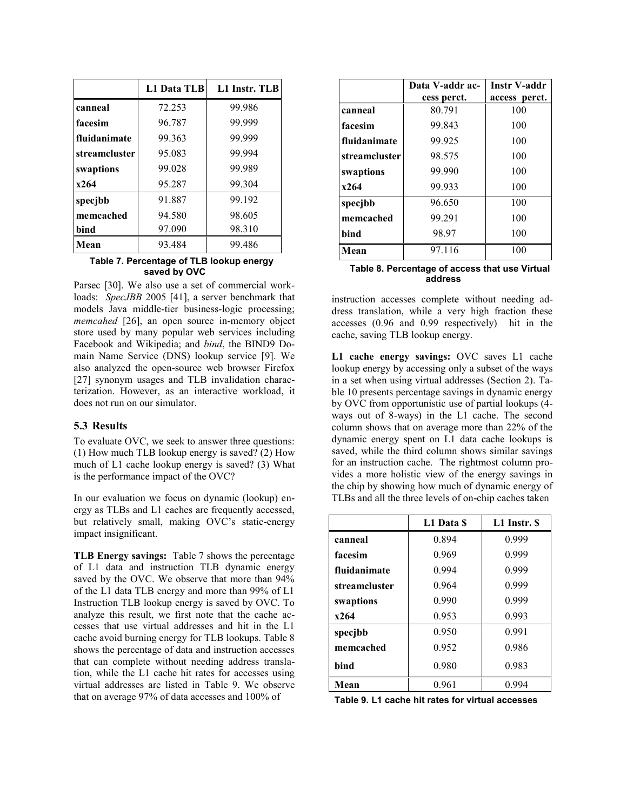|               | L1 Data TLB | L1 Instr. TLB |
|---------------|-------------|---------------|
| canneal       | 72.253      | 99.986        |
| facesim       | 96.787      | 99.999        |
| fluidanimate  | 99.363      | 99.999        |
| streamcluster | 95.083      | 99.994        |
| swaptions     | 99.028      | 99.989        |
| x264          | 95.287      | 99.304        |
| specjbb       | 91.887      | 99.192        |
| memcached     | 94.580      | 98.605        |
| bind          | 97.090      | 98.310        |
| Mean          | 93.484      | 99.486        |

#### **Table 7. Percentage of TLB lookup energy saved by OVC**

Parsec [30]. We also use a set of commercial workloads: *SpecJBB* 2005 [41], a server benchmark that models Java middle-tier business-logic processing; *memcahed* [26], an open source in-memory object store used by many popular web services including Facebook and Wikipedia; and *bind*, the BIND9 Domain Name Service (DNS) lookup service [9]. We also analyzed the open-source web browser Firefox [27] synonym usages and TLB invalidation characterization. However, as an interactive workload, it does not run on our simulator.

#### **5.3 Results**

To evaluate OVC, we seek to answer three questions: (1) How much TLB lookup energy is saved? (2) How much of L1 cache lookup energy is saved? (3) What is the performance impact of the OVC?

In our evaluation we focus on dynamic (lookup) energy as TLBs and L1 caches are frequently accessed, but relatively small, making OVC's static-energy impact insignificant.

**TLB Energy savings:** Table 7 shows the percentage of L1 data and instruction TLB dynamic energy saved by the OVC. We observe that more than 94% of the L1 data TLB energy and more than 99% of L1 Instruction TLB lookup energy is saved by OVC. To analyze this result, we first note that the cache accesses that use virtual addresses and hit in the L1 cache avoid burning energy for TLB lookups. Table 8 shows the percentage of data and instruction accesses that can complete without needing address translation, while the L1 cache hit rates for accesses using virtual addresses are listed in [Table](#page-8-0) 9. We observe that on average 97% of data accesses and 100% of

|                      | Data V-addr ac- | <b>Instr V-addr</b> |  |
|----------------------|-----------------|---------------------|--|
|                      | cess perct.     | access perct.       |  |
| canneal              | 80.791          | 100                 |  |
| facesim              | 99.843          | 100                 |  |
| fluidanimate         | 99.925          | 100                 |  |
| <i>streamcluster</i> | 98.575          | 100                 |  |
| swaptions            | 99.990          | 100                 |  |
| x264                 | 99.933          | 100                 |  |
| specjbb              | 96.650          | 100                 |  |
| memcached            | 99.291          | 100                 |  |
| bind                 | 98.97           | 100                 |  |
| Mean                 | 97.116          | 100                 |  |

#### **Table 8. Percentage of access that use Virtual address**

instruction accesses complete without needing address translation, while a very high fraction these accesses (0.96 and 0.99 respectively) hit in the cache, saving TLB lookup energy.

**L1 cache energy savings:** OVC saves L1 cache lookup energy by accessing only a subset of the ways in a set when using virtual addresses (Section [2\)](#page-1-0). Table 10 presents percentage savings in dynamic energy by OVC from opportunistic use of partial lookups (4 ways out of 8-ways) in the L1 cache. The second column shows that on average more than 22% of the dynamic energy spent on L1 data cache lookups is saved, while the third column shows similar savings for an instruction cache. The rightmost column provides a more holistic view of the energy savings in the chip by showing how much of dynamic energy of TLBs and all the three levels of on-chip caches taken

|               | L1 Data S | L1 Instr. \$ |
|---------------|-----------|--------------|
| canneal       | 0.894     | 0.999        |
| facesim       | 0.969     | 0.999        |
| fluidanimate  | 0.994     | 0.999        |
| streamcluster | 0.964     | 0.999        |
| swaptions     | 0.990     | 0.999        |
| x264          | 0.953     | 0.993        |
| specjbb       | 0.950     | 0.991        |
| memcached     | 0.952     | 0.986        |
| bind          | 0.980     | 0.983        |
| Mean          | 0.961     | 0.994        |

<span id="page-8-0"></span>**Table 9. L1 cache hit rates for virtual accesses**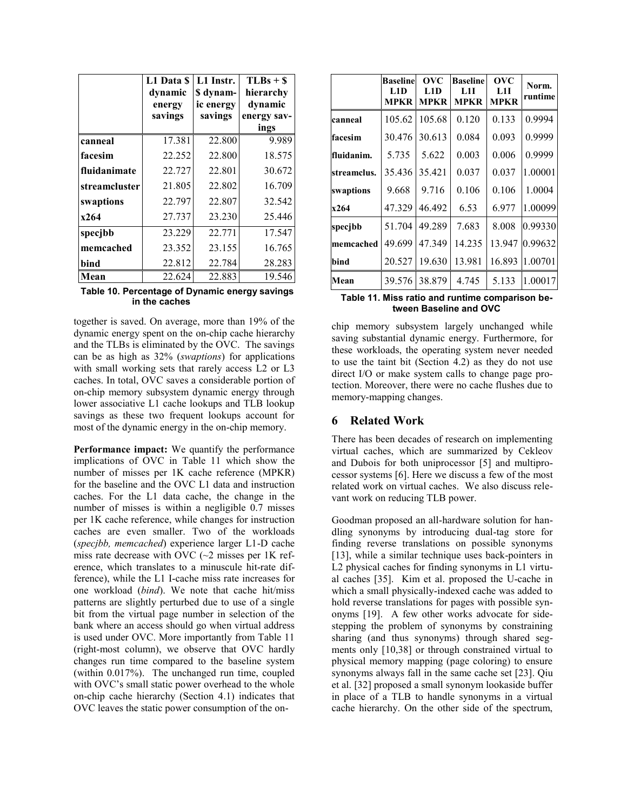|               | L1 Data \$ | L1 Instr. | $TLBs + $$  |
|---------------|------------|-----------|-------------|
|               | dynamic    | \$ dynam- | hierarchy   |
|               | energy     | ic energy | dynamic     |
|               | savings    | savings   | energy sav- |
|               |            |           | ings        |
| canneal       | 17.381     | 22.800    | 9.989       |
| facesim       | 22.252     | 22.800    | 18.575      |
| fluidanimate  | 22.727     | 22.801    | 30.672      |
| streamcluster | 21.805     | 22.802    | 16.709      |
| swaptions     | 22.797     | 22.807    | 32.542      |
| x264          | 27.737     | 23.230    | 25.446      |
| specjbb       | 23.229     | 22.771    | 17.547      |
| memcached     | 23.352     | 23.155    | 16.765      |
| bind          | 22.812     | 22.784    | 28.283      |
| Mean          | 22.624     | 22.883    | 19.546      |

 **Table 10. Percentage of Dynamic energy savings in the caches**

together is saved. On average, more than 19% of the dynamic energy spent on the on-chip cache hierarchy and the TLBs is eliminated by the OVC. The savings can be as high as 32% (*swaptions*) for applications with small working sets that rarely access L2 or L3 caches. In total, OVC saves a considerable portion of on-chip memory subsystem dynamic energy through lower associative L1 cache lookups and TLB lookup savings as these two frequent lookups account for most of the dynamic energy in the on-chip memory.

Performance impact: We quantify the performance implications of OVC in Table 11 which show the number of misses per 1K cache reference (MPKR) for the baseline and the OVC L1 data and instruction caches. For the L1 data cache, the change in the number of misses is within a negligible 0.7 misses per 1K cache reference, while changes for instruction caches are even smaller. Two of the workloads (*specjbb, memcached*) experience larger L1-D cache miss rate decrease with OVC  $(\sim 2$  misses per 1K reference, which translates to a minuscule hit-rate difference), while the L1 I-cache miss rate increases for one workload (*bind*). We note that cache hit/miss patterns are slightly perturbed due to use of a single bit from the virtual page number in selection of the bank where an access should go when virtual address is used under OVC. More importantly from Table 11 (right-most column), we observe that OVC hardly changes run time compared to the baseline system (within 0.017%). The unchanged run time, coupled with OVC's small static power overhead to the whole on-chip cache hierarchy (Section 4.1) indicates that OVC leaves the static power consumption of the on-

|             | <b>Baseline</b><br>L1D<br><b>MPKR</b> | $\overline{\text{OVC}}$<br>L1D<br><b>MPKR</b> | <b>Baseline</b><br>L1I<br><b>MPKR</b> | OVC<br>L1I<br><b>MPKR</b> | Norm.<br>runtime |
|-------------|---------------------------------------|-----------------------------------------------|---------------------------------------|---------------------------|------------------|
| canneal     | 105.62                                | 105.68                                        | 0.120                                 | 0.133                     | 0.9994           |
| facesim     | 30.476                                | 30.613                                        | 0.084                                 | 0.093                     | 0.9999           |
| fluidanim.  | 5.735                                 | 5.622                                         | 0.003                                 | 0.006                     | 0.9999           |
| streamclus. | 35.436                                | 35.421                                        | 0.037                                 | 0.037                     | 1.00001          |
| swaptions   | 9.668                                 | 9.716                                         | 0.106                                 | 0.106                     | 1.0004           |
| x264        | 47.329                                | 46.492                                        | 6.53                                  | 6.977                     | 1.00099          |
| specibb     | 51.704                                | 49.289                                        | 7.683                                 | 8.008                     | 0.99330          |
| memcached   | 49.699                                | 47.349                                        | 14.235                                | 13.947                    | 0.99632          |
| bind        | 20.527                                | 19.630                                        | 13.981                                | 16.893                    | 1.00701          |
| Mean        | 39.576                                | 38.879                                        | 4.745                                 | 5.133                     | 1.00017          |

**Table 11. Miss ratio and runtime comparison between Baseline and OVC**

chip memory subsystem largely unchanged while saving substantial dynamic energy. Furthermore, for these workloads, the operating system never needed to use the taint bit (Section [4.2\)](#page-6-0) as they do not use direct I/O or make system calls to change page protection. Moreover, there were no cache flushes due to memory-mapping changes.

### **6 Related Work**

There has been decades of research on implementing virtual caches, which are summarized by Cekleov and Dubois for both uniprocessor [5] and multiprocessor systems [6]. Here we discuss a few of the most related work on virtual caches. We also discuss relevant work on reducing TLB power.

Goodman proposed an all-hardware solution for handling synonyms by introducing dual-tag store for finding reverse translations on possible synonyms [13], while a similar technique uses back-pointers in L2 physical caches for finding synonyms in L1 virtual caches [35]. Kim et al. proposed the U-cache in which a small physically-indexed cache was added to hold reverse translations for pages with possible synonyms [19]. A few other works advocate for sidestepping the problem of synonyms by constraining sharing (and thus synonyms) through shared segments only [10,38] or through constrained virtual to physical memory mapping (page coloring) to ensure synonyms always fall in the same cache set [23]. Qiu et al. [32] proposed a small synonym lookaside buffer in place of a TLB to handle synonyms in a virtual cache hierarchy. On the other side of the spectrum,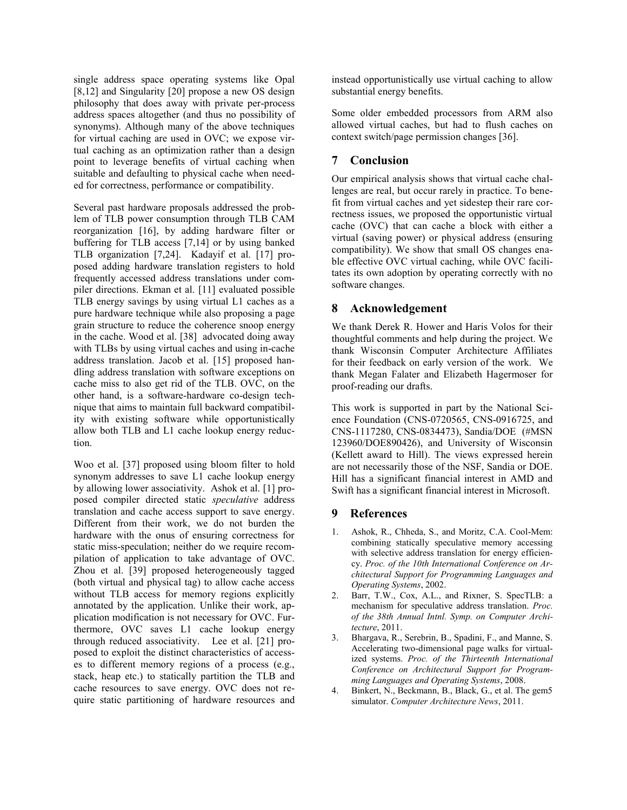single address space operating systems like Opal [8,12] and Singularity [20] propose a new OS design philosophy that does away with private per-process address spaces altogether (and thus no possibility of synonyms). Although many of the above techniques for virtual caching are used in OVC; we expose virtual caching as an optimization rather than a design point to leverage benefits of virtual caching when suitable and defaulting to physical cache when needed for correctness, performance or compatibility.

Several past hardware proposals addressed the problem of TLB power consumption through TLB CAM reorganization [16], by adding hardware filter or buffering for TLB access [7,14] or by using banked TLB organization [7,24]. Kadayif et al. [17] proposed adding hardware translation registers to hold frequently accessed address translations under compiler directions. Ekman et al. [11] evaluated possible TLB energy savings by using virtual L1 caches as a pure hardware technique while also proposing a page grain structure to reduce the coherence snoop energy in the cache. Wood et al. [38] advocated doing away with TLBs by using virtual caches and using in-cache address translation. Jacob et al. [15] proposed handling address translation with software exceptions on cache miss to also get rid of the TLB. OVC, on the other hand, is a software-hardware co-design technique that aims to maintain full backward compatibility with existing software while opportunistically allow both TLB and L1 cache lookup energy reduction.

Woo et al. [37] proposed using bloom filter to hold synonym addresses to save L1 cache lookup energy by allowing lower associativity. Ashok et al. [1] proposed compiler directed static *speculative* address translation and cache access support to save energy. Different from their work, we do not burden the hardware with the onus of ensuring correctness for static miss-speculation; neither do we require recompilation of application to take advantage of OVC. Zhou et al. [39] proposed heterogeneously tagged (both virtual and physical tag) to allow cache access without TLB access for memory regions explicitly annotated by the application. Unlike their work, application modification is not necessary for OVC. Furthermore, OVC saves L1 cache lookup energy through reduced associativity. Lee et al. [21] proposed to exploit the distinct characteristics of accesses to different memory regions of a process (e.g., stack, heap etc.) to statically partition the TLB and cache resources to save energy. OVC does not require static partitioning of hardware resources and instead opportunistically use virtual caching to allow substantial energy benefits.

Some older embedded processors from ARM also allowed virtual caches, but had to flush caches on context switch/page permission changes [36].

## **7 Conclusion**

Our empirical analysis shows that virtual cache challenges are real, but occur rarely in practice. To benefit from virtual caches and yet sidestep their rare correctness issues, we proposed the opportunistic virtual cache (OVC) that can cache a block with either a virtual (saving power) or physical address (ensuring compatibility). We show that small OS changes enable effective OVC virtual caching, while OVC facilitates its own adoption by operating correctly with no software changes.

## **8 Acknowledgement**

We thank Derek R. Hower and Haris Volos for their thoughtful comments and help during the project. We thank Wisconsin Computer Architecture Affiliates for their feedback on early version of the work. We thank Megan Falater and Elizabeth Hagermoser for proof-reading our drafts.

This work is supported in part by the National Science Foundation (CNS-0720565, CNS-0916725, and CNS-1117280, CNS-0834473), Sandia/DOE (#MSN 123960/DOE890426), and University of Wisconsin (Kellett award to Hill). The views expressed herein are not necessarily those of the NSF, Sandia or DOE. Hill has a significant financial interest in AMD and Swift has a significant financial interest in Microsoft.

### **9 References**

- 1. Ashok, R., Chheda, S., and Moritz, C.A. Cool-Mem: combining statically speculative memory accessing with selective address translation for energy efficiency. *Proc. of the 10th International Conference on Architectural Support for Programming Languages and Operating Systems*, 2002.
- 2. Barr, T.W., Cox, A.L., and Rixner, S. SpecTLB: a mechanism for speculative address translation. *Proc. of the 38th Annual Intnl. Symp. on Computer Architecture*, 2011.
- 3. Bhargava, R., Serebrin, B., Spadini, F., and Manne, S. Accelerating two-dimensional page walks for virtualized systems. *Proc. of the Thirteenth International Conference on Architectural Support for Programming Languages and Operating Systems*, 2008.
- 4. Binkert, N., Beckmann, B., Black, G., et al. The gem5 simulator. *Computer Architecture News*, 2011.